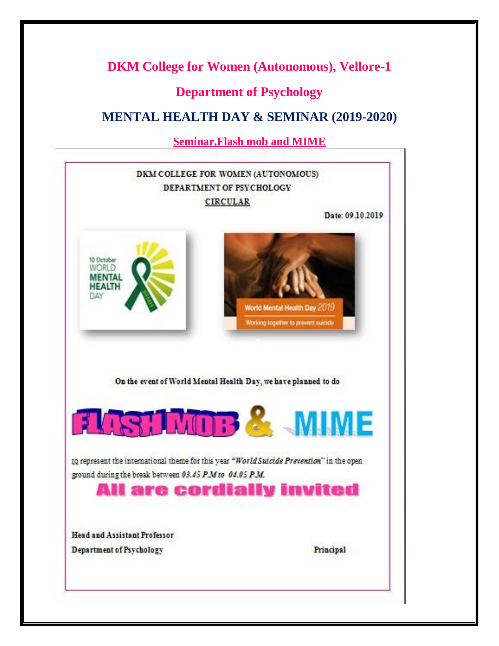## **DKM College for Women (Autonomous), Vellore-1**

## **Department of Psychology**

# **MENTAL HEALTH DAY & SEMINAR (2019-2020)**

**Seminar,Flash mob and MIME**

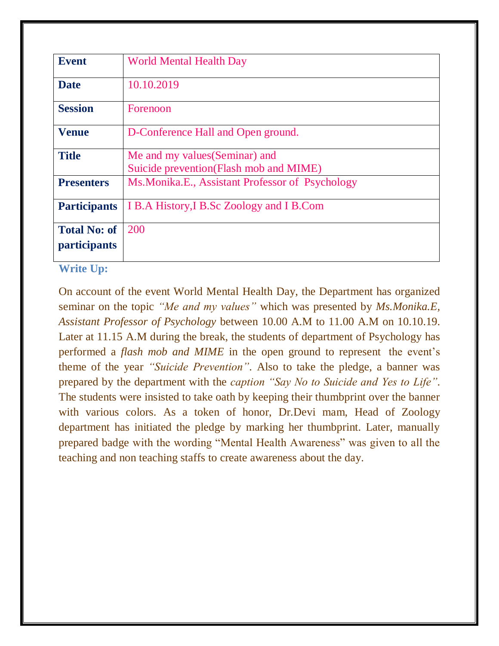| World Mental Health Day                           |
|---------------------------------------------------|
|                                                   |
| 10.10.2019                                        |
| Forenoon                                          |
| D-Conference Hall and Open ground.                |
| Me and my values (Seminar) and                    |
| Suicide prevention (Flash mob and MIME)           |
| Ms. Monika. E., Assistant Professor of Psychology |
| I B.A History, I B.Sc Zoology and I B.Com         |
| 200                                               |
|                                                   |
|                                                   |

#### **Write Up:**

On account of the event World Mental Health Day, the Department has organized seminar on the topic *"Me and my values"* which was presented by *Ms.Monika.E, Assistant Professor of Psychology* between 10.00 A.M to 11.00 A.M on 10.10.19. Later at 11.15 A.M during the break, the students of department of Psychology has performed a *flash mob and MIME* in the open ground to represent the event's theme of the year *"Suicide Prevention"*. Also to take the pledge, a banner was prepared by the department with the *caption "Say No to Suicide and Yes to Life"*. The students were insisted to take oath by keeping their thumbprint over the banner with various colors. As a token of honor, Dr.Devi mam, Head of Zoology department has initiated the pledge by marking her thumbprint. Later, manually prepared badge with the wording "Mental Health Awareness" was given to all the teaching and non teaching staffs to create awareness about the day.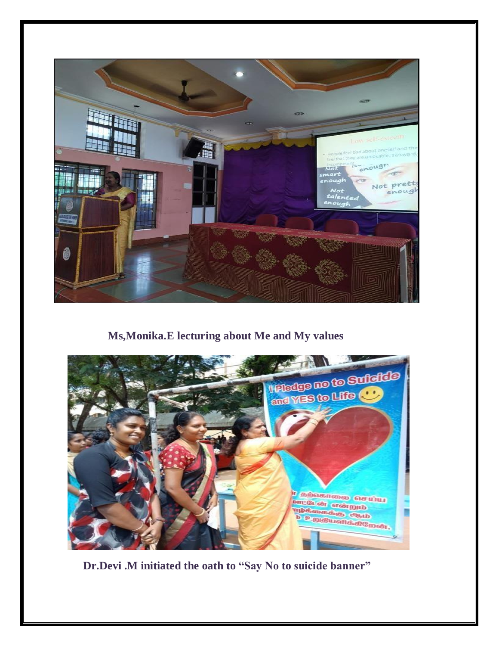

## **Ms,Monika.E lecturing about Me and My values**



**Dr.Devi .M initiated the oath to "Say No to suicide banner"**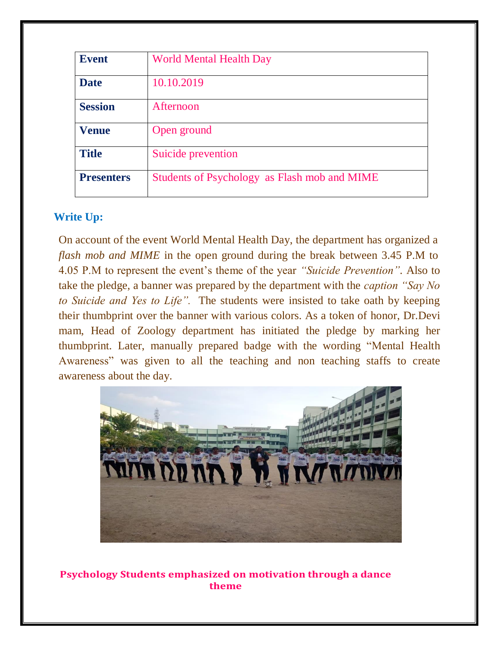| <b>Event</b>      | <b>World Mental Health Day</b>               |
|-------------------|----------------------------------------------|
| <b>Date</b>       | 10.10.2019                                   |
| <b>Session</b>    | Afternoon                                    |
| <b>Venue</b>      | Open ground                                  |
| <b>Title</b>      | Suicide prevention                           |
| <b>Presenters</b> | Students of Psychology as Flash mob and MIME |

#### **Write Up:**

On account of the event World Mental Health Day, the department has organized a *flash mob and MIME* in the open ground during the break between 3.45 P.M to 4.05 P.M to represent the event's theme of the year *"Suicide Prevention"*. Also to take the pledge, a banner was prepared by the department with the *caption "Say No to Suicide and Yes to Life".* The students were insisted to take oath by keeping their thumbprint over the banner with various colors. As a token of honor, Dr.Devi mam, Head of Zoology department has initiated the pledge by marking her thumbprint. Later, manually prepared badge with the wording "Mental Health Awareness" was given to all the teaching and non teaching staffs to create awareness about the day.



**Psychology Students emphasized on motivation through a dance theme**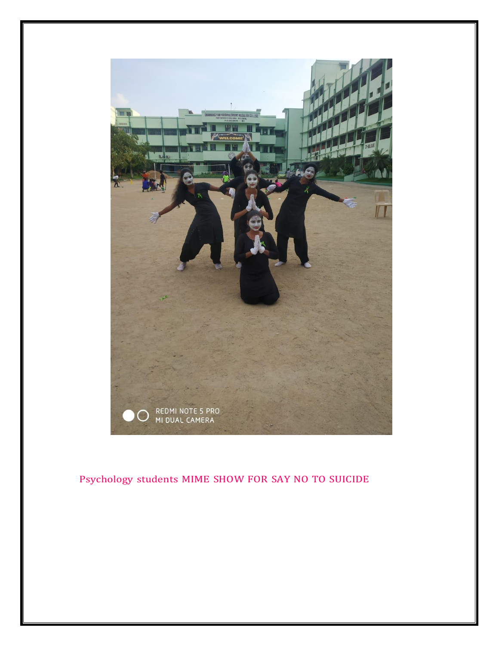

### Psychology students MIME SHOW FOR SAY NO TO SUICIDE